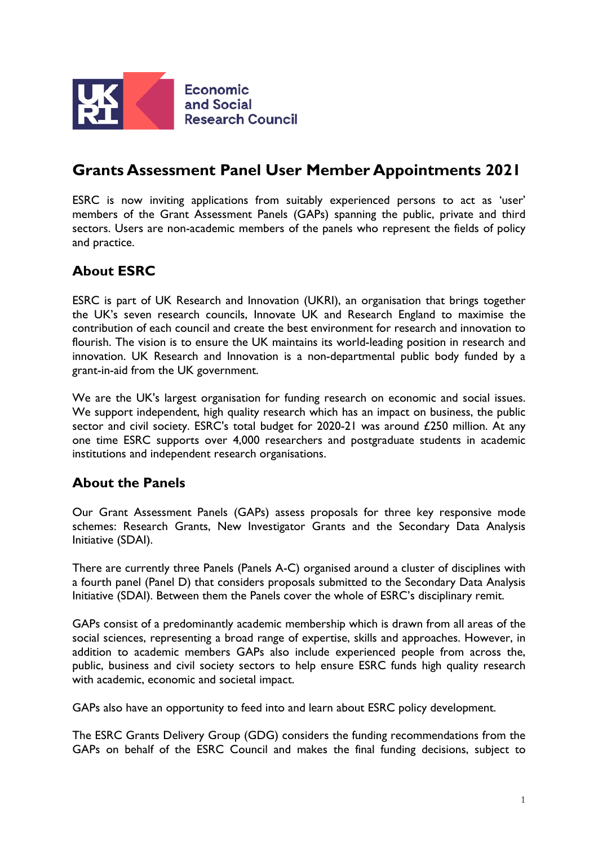

# **Grants Assessment Panel User Member Appointments 2021**

ESRC is now inviting applications from suitably experienced persons to act as 'user' members of the Grant Assessment Panels (GAPs) spanning the public, private and third sectors. Users are non-academic members of the panels who represent the fields of policy and practice.

# **About ESRC**

ESRC is part of UK Research and Innovation (UKRI), an organisation that brings together the UK's seven research councils, Innovate UK and Research England to maximise the contribution of each council and create the best environment for research and innovation to flourish. The vision is to ensure the UK maintains its world-leading position in research and innovation. UK Research and Innovation is a non-departmental public body funded by a grant-in-aid from the UK government.

We are the UK's largest organisation for funding research on economic and social issues. We support independent, high quality research which has an impact on business, the public sector and civil society. ESRC's total budget for 2020-21 was around £250 million. At any one time ESRC supports over 4,000 researchers and postgraduate students in academic institutions and independent research organisations.

# **About the Panels**

Our Grant Assessment Panels (GAPs) assess proposals for three key responsive mode schemes: Research Grants, New Investigator Grants and the Secondary Data Analysis Initiative (SDAI).

There are currently three Panels (Panels A-C) organised around a cluster of disciplines with a fourth panel (Panel D) that considers proposals submitted to the Secondary Data Analysis Initiative (SDAI). Between them the Panels cover the whole of ESRC's disciplinary remit.

GAPs consist of a predominantly academic membership which is drawn from all areas of the social sciences, representing a broad range of expertise, skills and approaches. However, in addition to academic members GAPs also include experienced people from across the, public, business and civil society sectors to help ensure ESRC funds high quality research with academic, economic and societal impact.

GAPs also have an opportunity to feed into and learn about ESRC policy development.

The ESRC Grants Delivery Group (GDG) considers the funding recommendations from the GAPs on behalf of the ESRC Council and makes the final funding decisions, subject to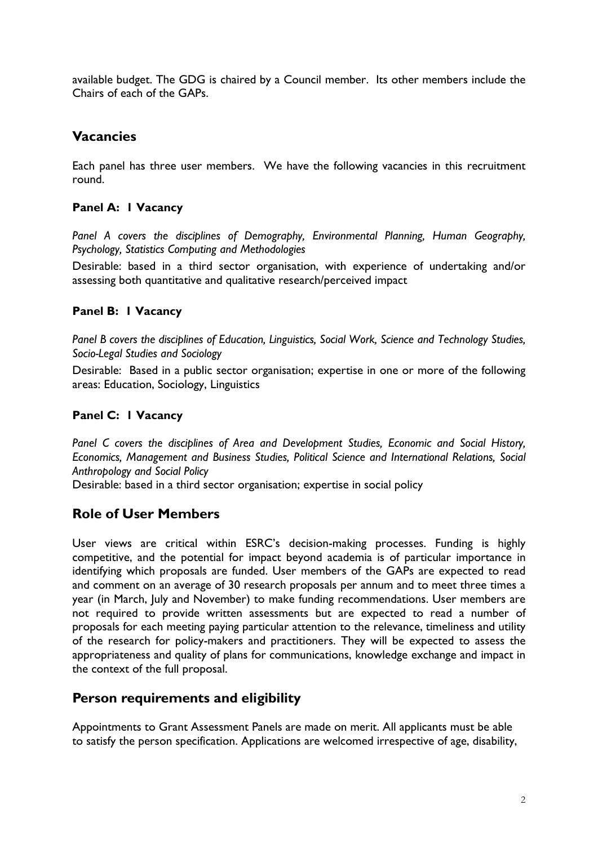available budget. The GDG is chaired by a Council member. Its other members include the Chairs of each of the GAPs.

### **Vacancies**

Each panel has three user members. We have the following vacancies in this recruitment round.

#### **Panel A: 1 Vacancy**

*Panel A covers the disciplines of Demography, Environmental Planning, Human Geography, Psychology, Statistics Computing and Methodologies*

Desirable: based in a third sector organisation, with experience of undertaking and/or assessing both quantitative and qualitative research/perceived impact

#### **Panel B: 1 Vacancy**

*Panel B covers the disciplines of Education, Linguistics, Social Work, Science and Technology Studies, Socio-Legal Studies and Sociology*

Desirable: Based in a public sector organisation; expertise in one or more of the following areas: Education, Sociology, Linguistics

#### **Panel C: 1 Vacancy**

*Panel C covers the disciplines of Area and Development Studies, Economic and Social History, Economics, Management and Business Studies, Political Science and International Relations, Social Anthropology and Social Policy*

Desirable: based in a third sector organisation; expertise in social policy

### **Role of User Members**

User views are critical within ESRC's decision-making processes. Funding is highly competitive, and the potential for impact beyond academia is of particular importance in identifying which proposals are funded. User members of the GAPs are expected to read and comment on an average of 30 research proposals per annum and to meet three times a year (in March, July and November) to make funding recommendations. User members are not required to provide written assessments but are expected to read a number of proposals for each meeting paying particular attention to the relevance, timeliness and utility of the research for policy-makers and practitioners. They will be expected to assess the appropriateness and quality of plans for communications, knowledge exchange and impact in the context of the full proposal.

#### **Person requirements and eligibility**

Appointments to Grant Assessment Panels are made on merit. All applicants must be able to satisfy the person specification. Applications are welcomed irrespective of age, disability,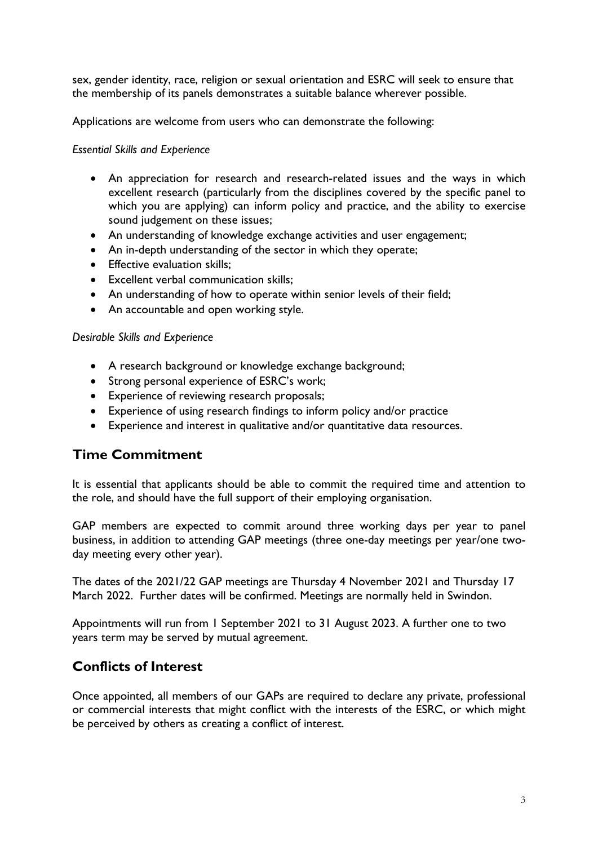sex, gender identity, race, religion or sexual orientation and ESRC will seek to ensure that the membership of its panels demonstrates a suitable balance wherever possible.

Applications are welcome from users who can demonstrate the following:

#### *Essential Skills and Experience*

- An appreciation for research and research-related issues and the ways in which excellent research (particularly from the disciplines covered by the specific panel to which you are applying) can inform policy and practice, and the ability to exercise sound judgement on these issues;
- An understanding of knowledge exchange activities and user engagement;
- An in-depth understanding of the sector in which they operate;
- Effective evaluation skills:
- Excellent verbal communication skills;
- An understanding of how to operate within senior levels of their field;
- An accountable and open working style.

#### *Desirable Skills and Experience*

- A research background or knowledge exchange background;
- Strong personal experience of ESRC's work;
- Experience of reviewing research proposals;
- Experience of using research findings to inform policy and/or practice
- Experience and interest in qualitative and/or quantitative data resources.

### **Time Commitment**

It is essential that applicants should be able to commit the required time and attention to the role, and should have the full support of their employing organisation.

GAP members are expected to commit around three working days per year to panel business, in addition to attending GAP meetings (three one-day meetings per year/one twoday meeting every other year).

The dates of the 2021/22 GAP meetings are Thursday 4 November 2021 and Thursday 17 March 2022. Further dates will be confirmed. Meetings are normally held in Swindon.

Appointments will run from 1 September 2021 to 31 August 2023. A further one to two years term may be served by mutual agreement.

# **Conflicts of Interest**

Once appointed, all members of our GAPs are required to declare any private, professional or commercial interests that might conflict with the interests of the ESRC, or which might be perceived by others as creating a conflict of interest.